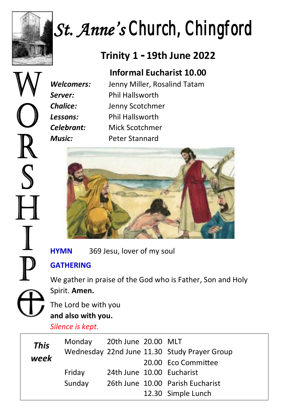

 $\mathbb R$ 

S

H

 $\mathbb I$ 

 $\overline{\mathbb{P}}$ 

# *St. Anne's Church, Chingford*

# **Trinity 1 - 19th June 2022**

## **Informal Eucharist 10.00**

*Welcomers:* Jenny Miller, Rosalind Tatam *Server:* Phil Hallsworth *Chalice:* Jenny Scotchmer *Lessons:* Phil Hallsworth *Celebrant:* Mick Scotchmer *Music:* Peter Stannard



**HYMN** 369 Jesu, lover of my soul

## **GATHERING**

We gather in praise of the God who is Father, Son and Holy Spirit. **Amen.**

The Lord be with you **and also with you.**

## *Silence is kept.*

| <b>This</b><br>week | Monday 20th June 20.00 MLT |                           | Wednesday 22nd June 11.30 Study Prayer Group |
|---------------------|----------------------------|---------------------------|----------------------------------------------|
|                     |                            |                           | 20.00 Eco Committee                          |
|                     | Friday                     | 24th June 10.00 Eucharist |                                              |
|                     | Sunday                     |                           | 26th June 10.00 Parish Eucharist             |
|                     |                            |                           | 12.30 Simple Lunch                           |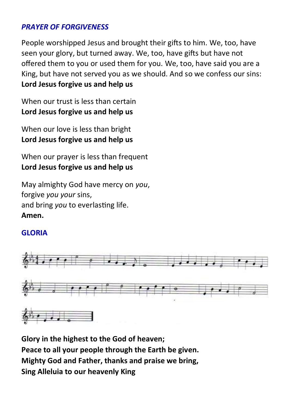#### *PRAYER OF FORGIVENESS*

People worshipped Jesus and brought their gifts to him. We, too, have seen your glory, but turned away. We, too, have gifts but have not offered them to you or used them for you. We, too, have said you are a King, but have not served you as we should. And so we confess our sins: **Lord Jesus forgive us and help us**

When our trust is less than certain **Lord Jesus forgive us and help us** 

When our love is less than bright **Lord Jesus forgive us and help us** 

When our prayer is less than frequent **Lord Jesus forgive us and help us** 

May almighty God have mercy on *you*, forgive *you your* sins, and bring *you* to everlasting life. **Amen.**

#### **GLORIA**



**Glory in the highest to the God of heaven; Peace to all your people through the Earth be given. Mighty God and Father, thanks and praise we bring, Sing Alleluia to our heavenly King**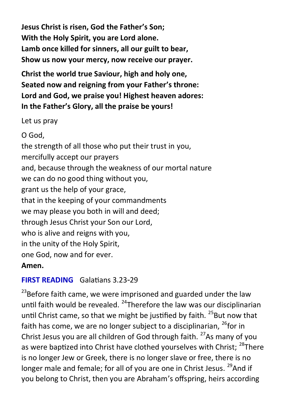**Jesus Christ is risen, God the Father's Son; With the Holy Spirit, you are Lord alone. Lamb once killed for sinners, all our guilt to bear, Show us now your mercy, now receive our prayer.**

**Christ the world true Saviour, high and holy one, Seated now and reigning from your Father's throne: Lord and God, we praise you! Highest heaven adores: In the Father's Glory, all the praise be yours!**

Let us pray

O God, the strength of all those who put their trust in you, mercifully accept our prayers and, because through the weakness of our mortal nature we can do no good thing without you, grant us the help of your grace, that in the keeping of your commandments we may please you both in will and deed; through Jesus Christ your Son our Lord, who is alive and reigns with you, in the unity of the Holy Spirit, one God, now and for ever. **Amen.**

#### **FIRST READING** Galatians 3.23-29

 $^{23}$ Before faith came, we were imprisoned and guarded under the law until faith would be revealed. <sup>24</sup>Therefore the law was our disciplinarian until Christ came, so that we might be justified by faith.  $25$ But now that faith has come, we are no longer subject to a disciplinarian,  $^{26}$  for in Christ Jesus you are all children of God through faith.  $27$ As many of you as were baptized into Christ have clothed yourselves with Christ; <sup>28</sup>There is no longer Jew or Greek, there is no longer slave or free, there is no longer male and female; for all of you are one in Christ Jesus. <sup>29</sup>And if you belong to Christ, then you are Abraham's offspring, heirs according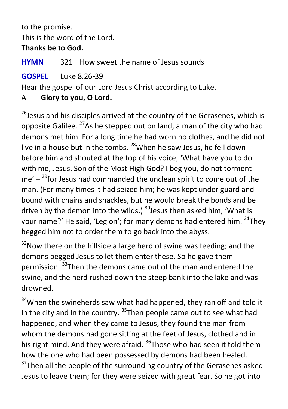to the promise. This is the word of the Lord.

#### **Thanks be to God.**

**HYMN** 321 How sweet the name of Jesus sounds

**GOSPEL** Luke 8.26-39

Hear the gospel of our Lord Jesus Christ according to Luke.

## All **Glory to you, O Lord.**

 $26$  Jesus and his disciples arrived at the country of the Gerasenes, which is opposite Galilee.  $27$ As he stepped out on land, a man of the city who had demons met him. For a long time he had worn no clothes, and he did not live in a house but in the tombs. <sup>28</sup>When he saw Jesus, he fell down before him and shouted at the top of his voice, 'What have you to do with me, Jesus, Son of the Most High God? I beg you, do not torment me' – <sup>29</sup>for Jesus had commanded the unclean spirit to come out of the man. (For many times it had seized him; he was kept under guard and bound with chains and shackles, but he would break the bonds and be driven by the demon into the wilds.)  $30$  Jesus then asked him. 'What is your name?' He said, 'Legion'; for many demons had entered him.  $31$ They begged him not to order them to go back into the abyss.

 $32$ Now there on the hillside a large herd of swine was feeding; and the demons begged Jesus to let them enter these. So he gave them permission. <sup>33</sup>Then the demons came out of the man and entered the swine, and the herd rushed down the steep bank into the lake and was drowned.

 $34$ When the swineherds saw what had happened, they ran off and told it in the city and in the country.  $35$ Then people came out to see what had happened, and when they came to Jesus, they found the man from whom the demons had gone sitting at the feet of Jesus, clothed and in his right mind. And they were afraid. <sup>36</sup>Those who had seen it told them how the one who had been possessed by demons had been healed.  $37$ Then all the people of the surrounding country of the Gerasenes asked Jesus to leave them; for they were seized with great fear. So he got into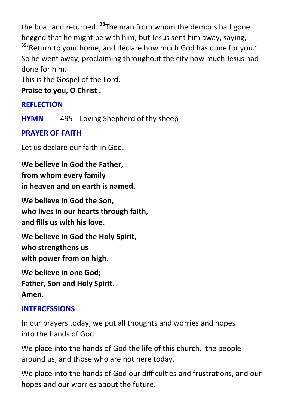the boat and returned.  $38$ The man from whom the demons had gone begged that he might be with him; but Jesus sent him away, saying, <sup>39</sup>'Return to vour home, and declare how much God has done for you.' So he went away, proclaiming throughout the city how much Jesus had done for him.

This is the Gospel of the Lord.

**Praise to you, O Christ .**

## **REFLECTION**

**HYMN** 495 Loving Shepherd of thy sheep

## **PRAYER OF FAITH**

Let us declare our faith in God.

**We believe in God the Father, from whom every family in heaven and on earth is named.** 

**We believe in God the Son, who lives in our hearts through faith, and fills us with his love.** 

**We believe in God the Holy Spirit, who strengthens us with power from on high.** 

**We believe in one God; Father, Son and Holy Spirit. Amen.**

## **INTERCESSIONS**

In our prayers today, we put all thoughts and worries and hopes into the hands of God.

We place into the hands of God the life of this church, the people around us, and those who are not here today.

We place into the hands of God our difficulties and frustrations, and our hopes and our worries about the future.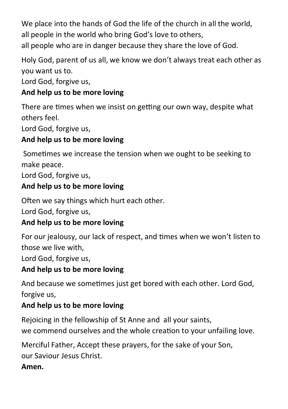We place into the hands of God the life of the church in all the world. all people in the world who bring God's love to others,

all people who are in danger because they share the love of God.

Holy God, parent of us all, we know we don't always treat each other as you want us to.

Lord God, forgive us,

## **And help us to be more loving**

There are times when we insist on getting our own way, despite what others feel.

Lord God, forgive us,

## **And help us to be more loving**

Sometimes we increase the tension when we ought to be seeking to make peace.

Lord God, forgive us,

## **And help us to be more loving**

Often we say things which hurt each other.

Lord God, forgive us,

#### **And help us to be more loving**

For our jealousy, our lack of respect, and times when we won't listen to those we live with,

Lord God, forgive us,

## **And help us to be more loving**

And because we sometimes just get bored with each other. Lord God, forgive us,

## **And help us to be more loving**

Rejoicing in the fellowship of St Anne and all your saints, we commend ourselves and the whole creation to your unfailing love.

Merciful Father, Accept these prayers, for the sake of your Son, our Saviour Jesus Christ.

#### **Amen.**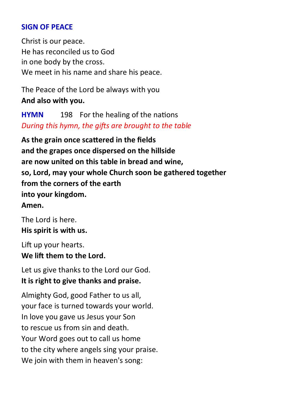#### **SIGN OF PEACE**

Christ is our peace. He has reconciled us to God in one body by the cross. We meet in his name and share his peace.

The Peace of the Lord be always with you **And also with you.**

**HYMN** 198 For the healing of the nations *During this hymn, the gifts are brought to the table*

**As the grain once scattered in the fields and the grapes once dispersed on the hillside are now united on this table in bread and wine, so, Lord, may your whole Church soon be gathered together from the corners of the earth into your kingdom. Amen.**

The Lord is here. **His spirit is with us.**

Lift up your hearts. **We lift them to the Lord.**

Let us give thanks to the Lord our God. **It is right to give thanks and praise.**

Almighty God, good Father to us all, your face is turned towards your world. In love you gave us Jesus your Son to rescue us from sin and death. Your Word goes out to call us home to the city where angels sing your praise. We join with them in heaven's song: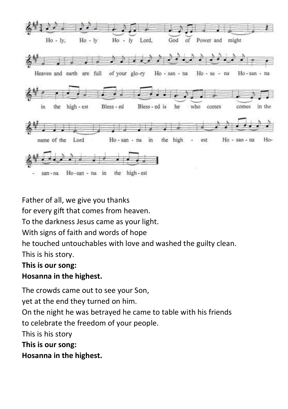

Father of all, we give you thanks

for every gift that comes from heaven.

To the darkness Jesus came as your light.

With signs of faith and words of hope

he touched untouchables with love and washed the guilty clean.

This is his story.

#### **This is our song:**

#### **Hosanna in the highest.**

The crowds came out to see your Son,

yet at the end they turned on him.

On the night he was betrayed he came to table with his friends to celebrate the freedom of your people.

This is his story

**This is our song:**

**Hosanna in the highest.**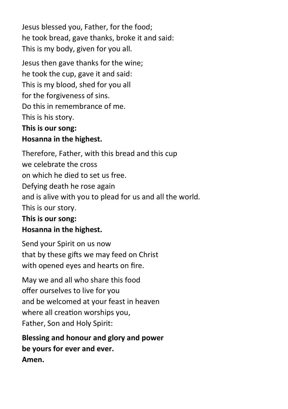Jesus blessed you, Father, for the food; he took bread, gave thanks, broke it and said: This is my body, given for you all.

Jesus then gave thanks for the wine; he took the cup, gave it and said: This is my blood, shed for you all for the forgiveness of sins. Do this in remembrance of me. This is his story. **This is our song:**

## **Hosanna in the highest.**

Therefore, Father, with this bread and this cup we celebrate the cross on which he died to set us free. Defying death he rose again and is alive with you to plead for us and all the world. This is our story.

## **This is our song: Hosanna in the highest.**

Send your Spirit on us now that by these gifts we may feed on Christ with opened eyes and hearts on fire.

May we and all who share this food offer ourselves to live for you and be welcomed at your feast in heaven where all creation worships you, Father, Son and Holy Spirit:

**Blessing and honour and glory and power be yours for ever and ever. Amen.**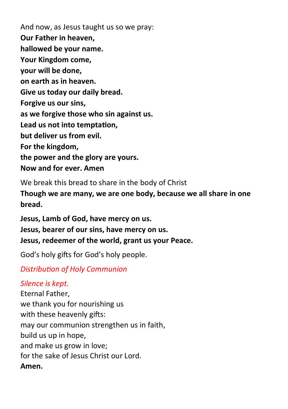And now, as Jesus taught us so we pray: **Our Father in heaven, hallowed be your name. Your Kingdom come, your will be done, on earth as in heaven. Give us today our daily bread. Forgive us our sins, as we forgive those who sin against us. Lead us not into temptation, but deliver us from evil. For the kingdom, the power and the glory are yours. Now and for ever. Amen**

We break this bread to share in the body of Christ **Though we are many, we are one body, because we all share in one bread.**

**Jesus, Lamb of God, have mercy on us. Jesus, bearer of our sins, have mercy on us. Jesus, redeemer of the world, grant us your Peace.**

God's holy gifts for God's holy people.

*Distribution of Holy Communion*

#### *Silence is kept.*

Eternal Father, we thank you for nourishing us with these heavenly gifts: may our communion strengthen us in faith, build us up in hope, and make us grow in love; for the sake of Jesus Christ our Lord. **Amen.**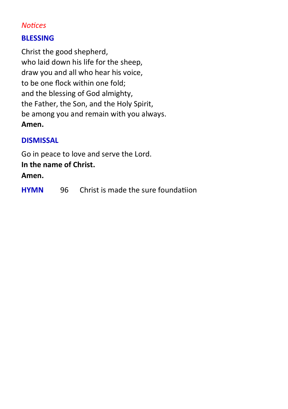#### *Notices*

#### **BLESSING**

Christ the good shepherd, who laid down his life for the sheep, draw you and all who hear his voice, to be one flock within one fold; and the blessing of God almighty, the Father, the Son, and the Holy Spirit, be among you and remain with you always. **Amen.**

#### **DISMISSAL**

Go in peace to love and serve the Lord.

#### **In the name of Christ.**

#### **Amen.**

| HYMN<br>96. | Christ is made the sure foundatiion |  |
|-------------|-------------------------------------|--|
|-------------|-------------------------------------|--|